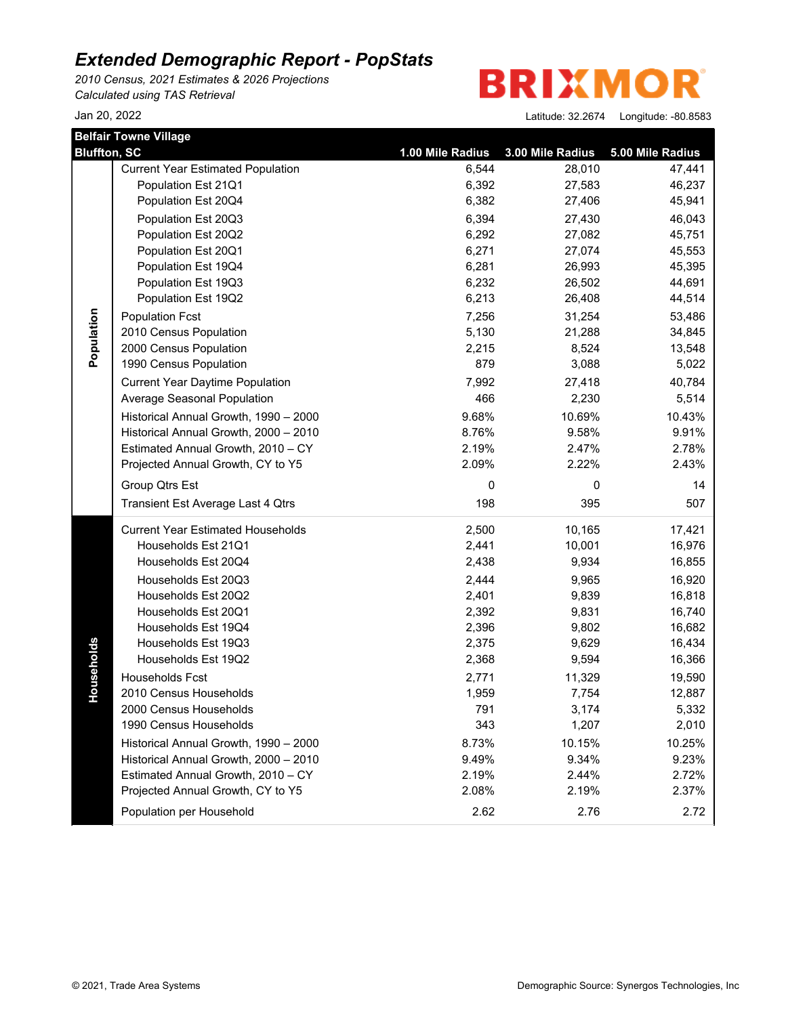*2010 Census, 2021 Estimates & 2026 Projections Calculated using TAS Retrieval*

**BRIXMO** R

|                     | <b>Belfair Towne Village</b>             |                  |                  |                  |
|---------------------|------------------------------------------|------------------|------------------|------------------|
| <b>Bluffton, SC</b> |                                          | 1.00 Mile Radius | 3.00 Mile Radius | 5.00 Mile Radius |
|                     | <b>Current Year Estimated Population</b> | 6,544            | 28,010           | 47,441           |
|                     | Population Est 21Q1                      | 6,392            | 27,583           | 46,237           |
|                     | Population Est 20Q4                      | 6,382            | 27,406           | 45,941           |
|                     | Population Est 20Q3                      | 6,394            | 27,430           | 46,043           |
|                     | Population Est 20Q2                      | 6,292            | 27,082           | 45,751           |
|                     | Population Est 20Q1                      | 6,271            | 27,074           | 45,553           |
|                     | Population Est 19Q4                      | 6,281            | 26,993           | 45,395           |
|                     | Population Est 19Q3                      | 6,232            | 26,502           | 44,691           |
|                     | Population Est 19Q2                      | 6,213            | 26,408           | 44,514           |
| Population          | <b>Population Fcst</b>                   | 7,256            | 31,254           | 53,486           |
|                     | 2010 Census Population                   | 5,130            | 21,288           | 34,845           |
|                     | 2000 Census Population                   | 2,215            | 8,524            | 13,548           |
|                     | 1990 Census Population                   | 879              | 3,088            | 5,022            |
|                     | <b>Current Year Daytime Population</b>   | 7,992            | 27,418           | 40,784           |
|                     | Average Seasonal Population              | 466              | 2,230            | 5,514            |
|                     | Historical Annual Growth, 1990 - 2000    | 9.68%            | 10.69%           | 10.43%           |
|                     | Historical Annual Growth, 2000 - 2010    | 8.76%            | 9.58%            | 9.91%            |
|                     | Estimated Annual Growth, 2010 - CY       | 2.19%            | 2.47%            | 2.78%            |
|                     | Projected Annual Growth, CY to Y5        | 2.09%            | 2.22%            | 2.43%            |
|                     | Group Qtrs Est                           | 0                | 0                | 14               |
|                     | Transient Est Average Last 4 Qtrs        | 198              | 395              | 507              |
|                     | <b>Current Year Estimated Households</b> | 2,500            | 10,165           | 17,421           |
|                     | Households Est 21Q1                      | 2,441            | 10,001           | 16,976           |
|                     | Households Est 20Q4                      | 2,438            | 9,934            | 16,855           |
|                     | Households Est 20Q3                      | 2,444            | 9,965            | 16,920           |
|                     | Households Est 20Q2                      | 2,401            | 9,839            | 16,818           |
|                     | Households Est 20Q1                      | 2,392            | 9,831            | 16,740           |
|                     | Households Est 19Q4                      | 2,396            | 9,802            | 16,682           |
|                     | Households Est 19Q3                      | 2,375            | 9,629            | 16,434           |
| Households          | Households Est 19Q2                      | 2,368            | 9,594            | 16,366           |
|                     | Households Fcst                          | 2,771            | 11,329           | 19,590           |
|                     | 2010 Census Households                   | 1,959            | 7,754            | 12,887           |
|                     | 2000 Census Households                   | 791              | 3,174            | 5,332            |
|                     | 1990 Census Households                   | 343              | 1,207            | 2,010            |
|                     | Historical Annual Growth, 1990 - 2000    | 8.73%            | 10.15%           | 10.25%           |
|                     | Historical Annual Growth, 2000 - 2010    | 9.49%            | 9.34%            | 9.23%            |
|                     | Estimated Annual Growth, 2010 - CY       | 2.19%            | 2.44%            | 2.72%            |
|                     | Projected Annual Growth, CY to Y5        | 2.08%            | 2.19%            | 2.37%            |
|                     | Population per Household                 | 2.62             | 2.76             | 2.72             |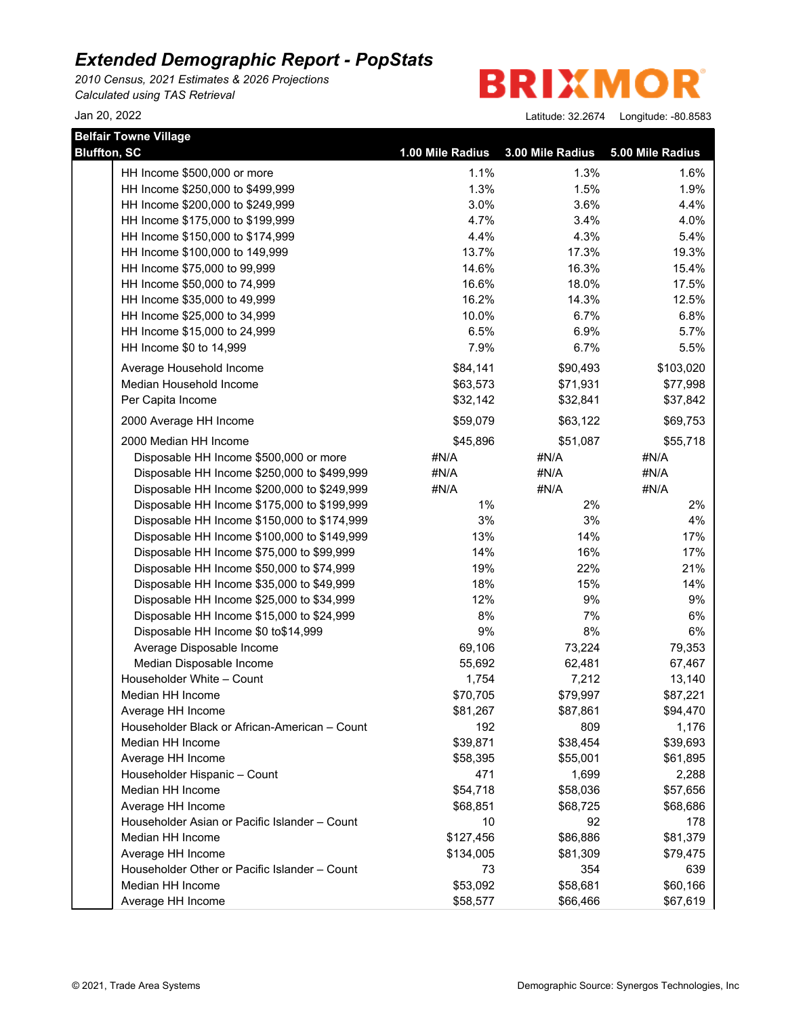*2010 Census, 2021 Estimates & 2026 Projections Calculated using TAS Retrieval*

**BRIXMOR** 

| <b>Belfair Towne Village</b>                  |                  |                  |                  |  |  |  |
|-----------------------------------------------|------------------|------------------|------------------|--|--|--|
| <b>Bluffton, SC</b>                           | 1.00 Mile Radius | 3.00 Mile Radius | 5.00 Mile Radius |  |  |  |
| HH Income \$500,000 or more                   | 1.1%             | 1.3%             | 1.6%             |  |  |  |
| HH Income \$250,000 to \$499,999              | 1.3%             | 1.5%             | 1.9%             |  |  |  |
| HH Income \$200,000 to \$249,999              | 3.0%             | 3.6%             | 4.4%             |  |  |  |
| HH Income \$175,000 to \$199,999              | 4.7%             | 3.4%             | 4.0%             |  |  |  |
| HH Income \$150,000 to \$174,999              | 4.4%             | 4.3%             | 5.4%             |  |  |  |
| HH Income \$100,000 to 149,999                | 13.7%            | 17.3%            | 19.3%            |  |  |  |
| HH Income \$75,000 to 99,999                  | 14.6%            | 16.3%            | 15.4%            |  |  |  |
| HH Income \$50,000 to 74,999                  | 16.6%            | 18.0%            | 17.5%            |  |  |  |
| HH Income \$35,000 to 49,999                  | 16.2%            | 14.3%            | 12.5%            |  |  |  |
| HH Income \$25,000 to 34,999                  | 10.0%            | 6.7%             | 6.8%             |  |  |  |
| HH Income \$15,000 to 24,999                  | 6.5%             | 6.9%             | 5.7%             |  |  |  |
| HH Income \$0 to 14,999                       | 7.9%             | 6.7%             | 5.5%             |  |  |  |
| Average Household Income                      | \$84,141         | \$90,493         | \$103,020        |  |  |  |
| Median Household Income                       | \$63,573         | \$71,931         | \$77,998         |  |  |  |
| Per Capita Income                             | \$32,142         | \$32,841         | \$37,842         |  |  |  |
| 2000 Average HH Income                        | \$59,079         | \$63,122         | \$69,753         |  |  |  |
| 2000 Median HH Income                         | \$45,896         | \$51,087         | \$55,718         |  |  |  |
| Disposable HH Income \$500,000 or more        | #N/A             | #N/A             | #N/A             |  |  |  |
| Disposable HH Income \$250,000 to \$499,999   | #N/A             | #N/A             | #N/A             |  |  |  |
| Disposable HH Income \$200,000 to \$249,999   | #N/A             | #N/A             | #N/A             |  |  |  |
| Disposable HH Income \$175,000 to \$199,999   | $1\%$            | 2%               | 2%               |  |  |  |
| Disposable HH Income \$150,000 to \$174,999   | 3%               | 3%               | 4%               |  |  |  |
| Disposable HH Income \$100,000 to \$149,999   | 13%              | 14%              | 17%              |  |  |  |
| Disposable HH Income \$75,000 to \$99,999     | 14%              | 16%              | 17%              |  |  |  |
| Disposable HH Income \$50,000 to \$74,999     | 19%              | 22%              | 21%              |  |  |  |
| Disposable HH Income \$35,000 to \$49,999     | 18%              | 15%              | 14%              |  |  |  |
| Disposable HH Income \$25,000 to \$34,999     | 12%              | 9%               | 9%               |  |  |  |
| Disposable HH Income \$15,000 to \$24,999     | 8%               | 7%               | 6%               |  |  |  |
| Disposable HH Income \$0 to\$14,999           | 9%               | 8%               | 6%               |  |  |  |
| Average Disposable Income                     | 69,106           | 73,224           | 79,353           |  |  |  |
| Median Disposable Income                      | 55,692           | 62,481           | 67,467           |  |  |  |
| Householder White - Count                     | 1,754            | 7,212            | 13,140           |  |  |  |
| Median HH Income                              | \$70,705         | \$79,997         | \$87,221         |  |  |  |
| Average HH Income                             | \$81,267         | \$87,861         | \$94,470         |  |  |  |
| Householder Black or African-American - Count | 192              | 809              | 1,176            |  |  |  |
| Median HH Income                              | \$39,871         | \$38,454         | \$39,693         |  |  |  |
| Average HH Income                             | \$58,395         | \$55,001         | \$61,895         |  |  |  |
| Householder Hispanic - Count                  | 471              | 1,699            | 2,288            |  |  |  |
| Median HH Income                              | \$54,718         | \$58,036         | \$57,656         |  |  |  |
| Average HH Income                             | \$68,851         | \$68,725         | \$68,686         |  |  |  |
| Householder Asian or Pacific Islander - Count | 10               | 92               | 178              |  |  |  |
| Median HH Income                              | \$127,456        | \$86,886         | \$81,379         |  |  |  |
| Average HH Income                             | \$134,005        | \$81,309         | \$79,475         |  |  |  |
| Householder Other or Pacific Islander - Count | 73               | 354              | 639              |  |  |  |
| Median HH Income                              | \$53,092         | \$58,681         | \$60,166         |  |  |  |
| Average HH Income                             | \$58,577         | \$66,466         | \$67,619         |  |  |  |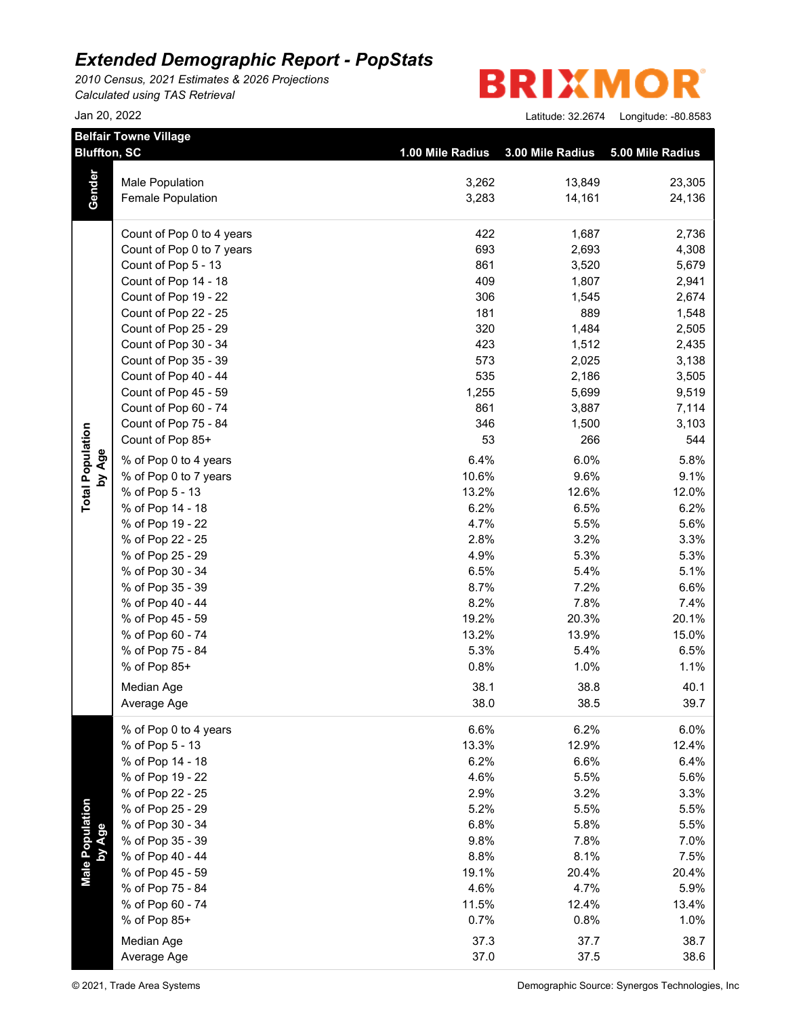*2010 Census, 2021 Estimates & 2026 Projections Calculated using TAS Retrieval*

**BRIXMO** R

|                           | <b>Belfair Towne Village</b><br><b>Bluffton, SC</b> | 1.00 Mile Radius | 3.00 Mile Radius | 5.00 Mile Radius |
|---------------------------|-----------------------------------------------------|------------------|------------------|------------------|
|                           |                                                     |                  |                  |                  |
| Gender                    | Male Population                                     | 3,262            | 13,849           | 23,305           |
|                           | Female Population                                   | 3,283            | 14,161           | 24,136           |
|                           | Count of Pop 0 to 4 years                           | 422              | 1,687            | 2,736            |
|                           | Count of Pop 0 to 7 years                           | 693              | 2,693            | 4,308            |
|                           | Count of Pop 5 - 13                                 | 861              | 3,520            | 5,679            |
|                           | Count of Pop 14 - 18                                | 409              | 1,807            | 2,941            |
|                           | Count of Pop 19 - 22                                | 306              | 1,545            | 2,674            |
|                           | Count of Pop 22 - 25                                | 181              | 889              | 1,548            |
|                           | Count of Pop 25 - 29                                | 320              | 1,484            | 2,505            |
|                           | Count of Pop 30 - 34                                | 423              | 1,512            | 2,435            |
|                           | Count of Pop 35 - 39                                | 573              | 2,025            | 3,138            |
|                           | Count of Pop 40 - 44                                | 535              | 2,186            | 3,505            |
|                           | Count of Pop 45 - 59                                | 1,255            | 5,699            | 9,519            |
|                           | Count of Pop 60 - 74                                | 861              | 3,887            | 7,114            |
| <b>Total Population</b>   | Count of Pop 75 - 84                                | 346              | 1,500            | 3,103            |
|                           | Count of Pop 85+                                    | 53               | 266              | 544              |
| by Age                    | % of Pop 0 to 4 years                               | 6.4%             | 6.0%             | 5.8%             |
|                           | % of Pop 0 to 7 years                               | 10.6%            | 9.6%             | 9.1%             |
|                           | % of Pop 5 - 13                                     | 13.2%            | 12.6%            | 12.0%            |
|                           | % of Pop 14 - 18                                    | 6.2%             | 6.5%             | 6.2%             |
|                           | % of Pop 19 - 22                                    | 4.7%             | 5.5%             | 5.6%             |
|                           | % of Pop 22 - 25                                    | 2.8%             | 3.2%             | 3.3%             |
|                           | % of Pop 25 - 29                                    | 4.9%             | 5.3%             | 5.3%             |
|                           | % of Pop 30 - 34                                    | 6.5%             | 5.4%             | 5.1%             |
|                           | % of Pop 35 - 39                                    | 8.7%             | 7.2%             | 6.6%             |
|                           | % of Pop 40 - 44                                    | 8.2%             | 7.8%             | 7.4%             |
|                           | % of Pop 45 - 59                                    | 19.2%            | 20.3%            | 20.1%            |
|                           | % of Pop 60 - 74                                    | 13.2%            | 13.9%            | 15.0%            |
|                           | % of Pop 75 - 84                                    | 5.3%             | 5.4%             | 6.5%             |
|                           | % of Pop 85+                                        | 0.8%             | 1.0%             | 1.1%             |
|                           | Median Age                                          | 38.1             | 38.8             | 40.1             |
|                           | Average Age                                         | 38.0             | 38.5             | 39.7             |
|                           | % of Pop 0 to 4 years                               | 6.6%             | 6.2%             | 6.0%             |
|                           | % of Pop 5 - 13                                     | 13.3%            | 12.9%            | 12.4%            |
|                           | % of Pop 14 - 18                                    | 6.2%             | 6.6%             | 6.4%             |
|                           | % of Pop 19 - 22                                    | 4.6%             | 5.5%             | 5.6%             |
|                           | % of Pop 22 - 25                                    | 2.9%             | 3.2%             | 3.3%             |
| Male Population<br>by Age | % of Pop 25 - 29                                    | 5.2%             | 5.5%             | 5.5%             |
|                           | % of Pop 30 - 34                                    | 6.8%             | 5.8%             | 5.5%             |
|                           | % of Pop 35 - 39                                    | 9.8%             | 7.8%             | 7.0%             |
|                           | % of Pop 40 - 44                                    | 8.8%             | 8.1%             | 7.5%             |
|                           | % of Pop 45 - 59                                    | 19.1%            | 20.4%            | 20.4%            |
|                           | % of Pop 75 - 84                                    | 4.6%             | 4.7%             | 5.9%             |
|                           | % of Pop 60 - 74                                    | 11.5%            | 12.4%            | 13.4%            |
|                           | % of Pop 85+                                        | 0.7%             | 0.8%             | 1.0%             |
|                           | Median Age                                          | 37.3             | 37.7             | 38.7             |
|                           | Average Age                                         | 37.0             | 37.5             | 38.6             |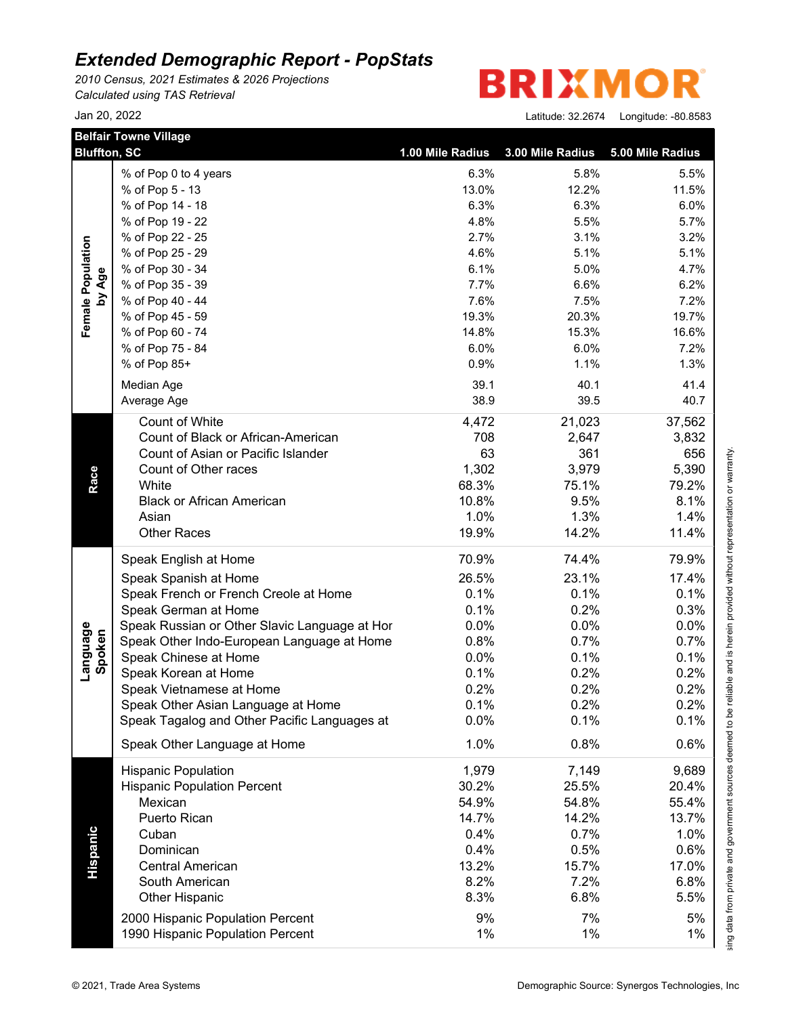*2010 Census, 2021 Estimates & 2026 Projections Calculated using TAS Retrieval*



|                    | <b>Belfair Towne Village</b><br><b>Bluffton, SC</b> | 1.00 Mile Radius | 3.00 Mile Radius | 5.00 Mile Radius |
|--------------------|-----------------------------------------------------|------------------|------------------|------------------|
|                    | % of Pop 0 to 4 years                               | 6.3%             | 5.8%             | 5.5%             |
|                    | % of Pop 5 - 13                                     | 13.0%            | 12.2%            | 11.5%            |
|                    | % of Pop 14 - 18                                    | 6.3%             | 6.3%             | 6.0%             |
|                    | % of Pop 19 - 22                                    | 4.8%             | 5.5%             | 5.7%             |
|                    | % of Pop 22 - 25                                    | 2.7%             | 3.1%             | 3.2%             |
| Female Population  | % of Pop 25 - 29                                    | 4.6%             | 5.1%             | 5.1%             |
|                    | % of Pop 30 - 34                                    | 6.1%             | 5.0%             | 4.7%             |
|                    | % of Pop 35 - 39                                    | 7.7%             | 6.6%             | 6.2%             |
| by Age             | % of Pop 40 - 44                                    | 7.6%             | 7.5%             | 7.2%             |
|                    | % of Pop 45 - 59                                    | 19.3%            | 20.3%            | 19.7%            |
|                    | % of Pop 60 - 74                                    | 14.8%            | 15.3%            | 16.6%            |
|                    | % of Pop 75 - 84                                    | 6.0%             | 6.0%             | 7.2%             |
|                    | % of Pop 85+                                        | 0.9%             | 1.1%             | 1.3%             |
|                    |                                                     |                  |                  |                  |
|                    | Median Age                                          | 39.1             | 40.1             | 41.4             |
|                    | Average Age                                         | 38.9             | 39.5             | 40.7             |
|                    | Count of White                                      | 4,472            | 21,023           | 37,562           |
|                    | Count of Black or African-American                  | 708              | 2,647            | 3,832            |
|                    | Count of Asian or Pacific Islander                  | 63               | 361              | 656              |
|                    | Count of Other races                                | 1,302            | 3,979            | 5,390            |
| Race               | White                                               | 68.3%            | 75.1%            | 79.2%            |
|                    | <b>Black or African American</b>                    | 10.8%            | 9.5%             | 8.1%             |
|                    | Asian                                               | 1.0%             | 1.3%             | 1.4%             |
|                    | <b>Other Races</b>                                  | 19.9%            | 14.2%            | 11.4%            |
|                    | Speak English at Home                               | 70.9%            | 74.4%            | 79.9%            |
|                    | Speak Spanish at Home                               | 26.5%            | 23.1%            | 17.4%            |
|                    | Speak French or French Creole at Home               | 0.1%             | 0.1%             | 0.1%             |
|                    | Speak German at Home                                | 0.1%             | 0.2%             | 0.3%             |
|                    | Speak Russian or Other Slavic Language at Hor       | 0.0%             | 0.0%             | 0.0%             |
|                    | Speak Other Indo-European Language at Home          | 0.8%             | 0.7%             | 0.7%             |
|                    | Speak Chinese at Home                               | 0.0%             | 0.1%             | 0.1%             |
| Language<br>Spoken | Speak Korean at Home                                | 0.1%             | 0.2%             | 0.2%             |
|                    | Speak Vietnamese at Home                            | 0.2%             | 0.2%             | 0.2%             |
|                    | Speak Other Asian Language at Home                  | 0.1%             | 0.2%             | 0.2%             |
|                    | Speak Tagalog and Other Pacific Languages at        | 0.0%             | 0.1%             | 0.1%             |
|                    | Speak Other Language at Home                        | 1.0%             | 0.8%             | 0.6%             |
|                    | <b>Hispanic Population</b>                          | 1,979            | 7,149            | 9,689            |
|                    | <b>Hispanic Population Percent</b>                  | 30.2%            | 25.5%            | 20.4%            |
|                    | Mexican                                             | 54.9%            | 54.8%            | 55.4%            |
|                    | Puerto Rican                                        | 14.7%            | 14.2%            | 13.7%            |
|                    | Cuban                                               | 0.4%             | 0.7%             | 1.0%             |
|                    | Dominican                                           | 0.4%             |                  | 0.6%             |
| Hispanic           | <b>Central American</b>                             |                  | 0.5%             |                  |
|                    |                                                     | 13.2%            | 15.7%            | 17.0%            |
|                    | South American                                      | 8.2%             | 7.2%             | 6.8%             |
|                    | <b>Other Hispanic</b>                               | 8.3%             | 6.8%             | 5.5%             |
|                    | 2000 Hispanic Population Percent                    | 9%               | 7%               | 5%               |
|                    |                                                     | 1%               | 1%               | 1%               |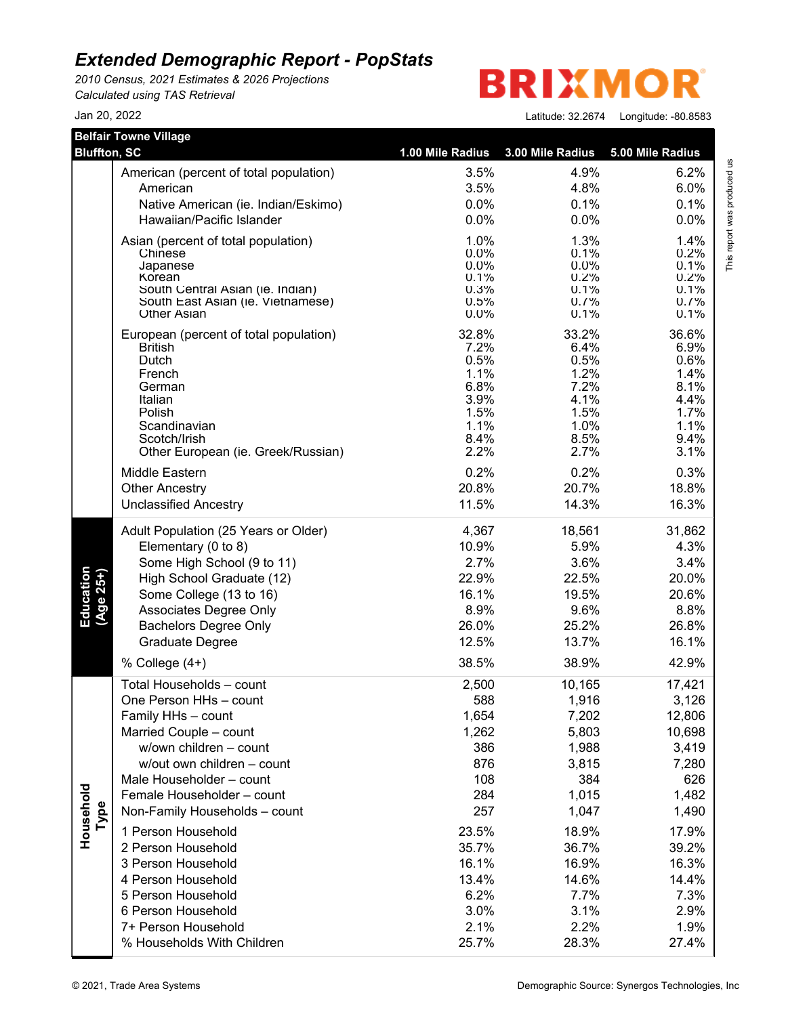*2010 Census, 2021 Estimates & 2026 Projections Calculated using TAS Retrieval*

**BRIXMO** R

Jan 20, 2022 Latitude: 32.2674 Longitude: -80.8583

This report was produced us<br>T

| <b>Belfair Towne Village</b><br><b>Bluffton, SC</b> |                                        |                  |                  |                  |                             |
|-----------------------------------------------------|----------------------------------------|------------------|------------------|------------------|-----------------------------|
|                                                     |                                        | 1.00 Mile Radius | 3.00 Mile Radius | 5.00 Mile Radius |                             |
|                                                     | American (percent of total population) | 3.5%             | 4.9%             | 6.2%             |                             |
|                                                     | American                               | 3.5%             | 4.8%             | 6.0%             |                             |
|                                                     | Native American (ie. Indian/Eskimo)    | 0.0%             | 0.1%             | 0.1%             |                             |
|                                                     | Hawaiian/Pacific Islander              | 0.0%             | 0.0%             | 0.0%             |                             |
|                                                     | Asian (percent of total population)    | 1.0%             | 1.3%             | 1.4%             | This report was produced us |
|                                                     | Chinese                                | 0.0%             | 0.1%             | 0.2%             |                             |
|                                                     | Japanese<br>Korean                     | $0.0\%$<br>0.1%  | $0.0\%$<br>0.2%  | 0.1%<br>0.2%     |                             |
|                                                     | South Central Asian (ie. Indian)       | 0.3%             | 0.1%             | 0.1%             |                             |
|                                                     | South East Asian (ie. Vietnamese)      | 0.5%             | 0.7%             | 0.7%             |                             |
|                                                     | <b>Other Asian</b>                     | 0.0%             | 0.1%             | 0.1%             |                             |
|                                                     | European (percent of total population) | 32.8%            | 33.2%            | 36.6%            |                             |
|                                                     | <b>British</b><br>Dutch                | 7.2%<br>0.5%     | 6.4%<br>0.5%     | 6.9%<br>0.6%     |                             |
|                                                     | French                                 | 1.1%             | 1.2%             | 1.4%             |                             |
|                                                     | German                                 | 6.8%             | 7.2%             | 8.1%             |                             |
|                                                     | Italian                                | 3.9%             | 4.1%             | 4.4%             |                             |
|                                                     | Polish                                 | 1.5%             | 1.5%             | 1.7%             |                             |
|                                                     | Scandinavian<br>Scotch/Irish           | 1.1%<br>8.4%     | 1.0%<br>8.5%     | 1.1%<br>9.4%     |                             |
|                                                     | Other European (ie. Greek/Russian)     | 2.2%             | 2.7%             | 3.1%             |                             |
|                                                     | Middle Eastern                         | 0.2%             | 0.2%             | 0.3%             |                             |
|                                                     | <b>Other Ancestry</b>                  | 20.8%            | 20.7%            | 18.8%            |                             |
|                                                     | <b>Unclassified Ancestry</b>           | 11.5%            | 14.3%            | 16.3%            |                             |
|                                                     | Adult Population (25 Years or Older)   | 4,367            | 18,561           | 31,862           |                             |
|                                                     | Elementary (0 to 8)                    | 10.9%            | 5.9%             | 4.3%             |                             |
|                                                     | Some High School (9 to 11)             | 2.7%             | 3.6%             | 3.4%             |                             |
| Education<br>(Age 25+)                              | High School Graduate (12)              | 22.9%            | 22.5%            | 20.0%            |                             |
|                                                     | Some College (13 to 16)                | 16.1%            | 19.5%            | 20.6%            |                             |
|                                                     | Associates Degree Only                 | 8.9%             | 9.6%             | 8.8%             |                             |
|                                                     | <b>Bachelors Degree Only</b>           | 26.0%            | 25.2%            | 26.8%            |                             |
|                                                     | Graduate Degree                        | 12.5%            | 13.7%            | 16.1%            |                             |
|                                                     | % College $(4+)$                       | 38.5%            | 38.9%            | 42.9%            |                             |
|                                                     | Total Households - count               | 2,500            | 10,165           | 17,421           |                             |
|                                                     | One Person HHs - count                 | 588              | 1,916            | 3,126            |                             |
|                                                     | Family HHs - count                     | 1,654            | 7,202            | 12,806           |                             |
|                                                     | Married Couple - count                 | 1,262            | 5,803            | 10,698           |                             |
|                                                     | w/own children - count                 | 386              | 1,988            | 3,419            |                             |
|                                                     | w/out own children - count             | 876              | 3,815            | 7,280            |                             |
|                                                     | Male Householder - count               | 108              | 384              | 626              |                             |
|                                                     | Female Householder - count             | 284              | 1,015            | 1,482            |                             |
| Type                                                | Non-Family Households - count          | 257              | 1,047            | 1,490            |                             |
| Household                                           | 1 Person Household                     | 23.5%            | 18.9%            | 17.9%            |                             |
|                                                     | 2 Person Household                     | 35.7%            | 36.7%            | 39.2%            |                             |
|                                                     | 3 Person Household                     | 16.1%            | 16.9%            | 16.3%            |                             |
|                                                     | 4 Person Household                     | 13.4%            | 14.6%            | 14.4%            |                             |
|                                                     | 5 Person Household                     | 6.2%             | 7.7%             | 7.3%             |                             |
|                                                     | 6 Person Household                     | 3.0%             | 3.1%             | 2.9%             |                             |
|                                                     | 7+ Person Household                    | 2.1%             | 2.2%             | 1.9%             |                             |
|                                                     | % Households With Children             | 25.7%            | 28.3%            | 27.4%            |                             |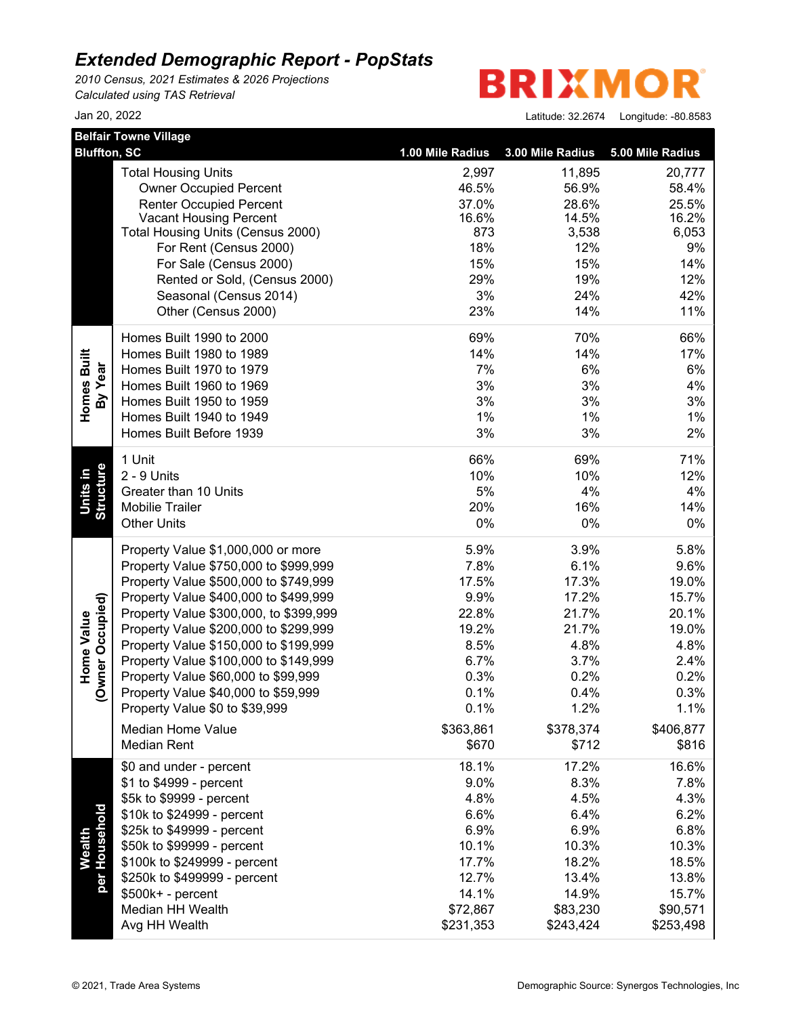*2010 Census, 2021 Estimates & 2026 Projections Calculated using TAS Retrieval*

**BRIXMO** R

|                                       | <b>Belfair Towne Village</b>                     |                  |                  |                  |  |
|---------------------------------------|--------------------------------------------------|------------------|------------------|------------------|--|
| <b>Bluffton, SC</b>                   |                                                  | 1.00 Mile Radius | 3.00 Mile Radius | 5.00 Mile Radius |  |
|                                       | <b>Total Housing Units</b>                       | 2,997            | 11,895           | 20,777           |  |
|                                       | <b>Owner Occupied Percent</b>                    | 46.5%            | 56.9%            | 58.4%            |  |
|                                       | <b>Renter Occupied Percent</b>                   | 37.0%            | 28.6%            | 25.5%            |  |
|                                       | <b>Vacant Housing Percent</b>                    | 16.6%            | 14.5%            | 16.2%            |  |
|                                       | Total Housing Units (Census 2000)                | 873<br>18%       | 3,538<br>12%     | 6,053<br>9%      |  |
|                                       | For Rent (Census 2000)<br>For Sale (Census 2000) | 15%              | 15%              | 14%              |  |
|                                       | Rented or Sold, (Census 2000)                    | 29%              | 19%              | 12%              |  |
|                                       | Seasonal (Census 2014)                           | 3%               | 24%              | 42%              |  |
|                                       | Other (Census 2000)                              | 23%              | 14%              | 11%              |  |
|                                       |                                                  |                  |                  |                  |  |
|                                       | Homes Built 1990 to 2000                         | 69%              | 70%              | 66%              |  |
| Homes Built                           | Homes Built 1980 to 1989                         | 14%              | 14%              | 17%              |  |
| By Year                               | Homes Built 1970 to 1979                         | 7%               | 6%               | 6%               |  |
|                                       | Homes Built 1960 to 1969                         | 3%               | 3%               | 4%               |  |
|                                       | Homes Built 1950 to 1959                         | 3%               | 3%               | 3%               |  |
|                                       | Homes Built 1940 to 1949                         | 1%               | 1%               | 1%               |  |
|                                       | Homes Built Before 1939                          | 3%               | 3%               | 2%               |  |
|                                       | 1 Unit                                           | 66%              | 69%              | 71%              |  |
| Units in                              | 2 - 9 Units                                      | 10%              | 10%              | 12%              |  |
|                                       | Greater than 10 Units                            | 5%               | 4%               | 4%               |  |
| Structure                             | Mobilie Trailer                                  | 20%              | 16%              | 14%              |  |
|                                       | <b>Other Units</b>                               | 0%               | 0%               | 0%               |  |
|                                       | Property Value \$1,000,000 or more               | 5.9%             | 3.9%             | 5.8%             |  |
|                                       | Property Value \$750,000 to \$999,999            | 7.8%             | 6.1%             | 9.6%             |  |
|                                       | Property Value \$500,000 to \$749,999            | 17.5%            | 17.3%            | 19.0%            |  |
|                                       | Property Value \$400,000 to \$499,999            | 9.9%             | 17.2%            | 15.7%            |  |
|                                       | Property Value \$300,000, to \$399,999           | 22.8%            | 21.7%            | 20.1%            |  |
| (Owner Occupied)<br><b>Home Value</b> | Property Value \$200,000 to \$299,999            | 19.2%            | 21.7%            | 19.0%            |  |
|                                       | Property Value \$150,000 to \$199,999            | 8.5%             | 4.8%             | 4.8%             |  |
|                                       | Property Value \$100,000 to \$149,999            | 6.7%             | 3.7%             | 2.4%             |  |
|                                       | Property Value \$60,000 to \$99,999              | 0.3%             | 0.2%             | 0.2%             |  |
|                                       | Property Value \$40,000 to \$59,999              | 0.1%             | 0.4%             | 0.3%             |  |
|                                       | Property Value \$0 to \$39,999                   | 0.1%             | 1.2%             | 1.1%             |  |
|                                       | Median Home Value                                | \$363,861        | \$378,374        | \$406,877        |  |
|                                       | <b>Median Rent</b>                               | \$670            | \$712            | \$816            |  |
|                                       | \$0 and under - percent                          | 18.1%            | 17.2%            | 16.6%            |  |
|                                       | \$1 to \$4999 - percent                          | 9.0%             | 8.3%             | 7.8%             |  |
|                                       | \$5k to \$9999 - percent                         | 4.8%             | 4.5%             | 4.3%             |  |
|                                       | \$10k to \$24999 - percent                       | 6.6%             | 6.4%             | 6.2%             |  |
| per Household                         | \$25k to \$49999 - percent                       | 6.9%             | 6.9%             | 6.8%             |  |
| <b>Wealth</b>                         | \$50k to \$99999 - percent                       | 10.1%            | 10.3%            | 10.3%            |  |
|                                       | \$100k to \$249999 - percent                     | 17.7%            | 18.2%            | 18.5%            |  |
|                                       | \$250k to \$499999 - percent                     | 12.7%            | 13.4%            | 13.8%            |  |
|                                       | \$500k+ - percent                                | 14.1%            | 14.9%            | 15.7%            |  |
|                                       | Median HH Wealth                                 | \$72,867         | \$83,230         | \$90,571         |  |
|                                       | Avg HH Wealth                                    | \$231,353        | \$243,424        | \$253,498        |  |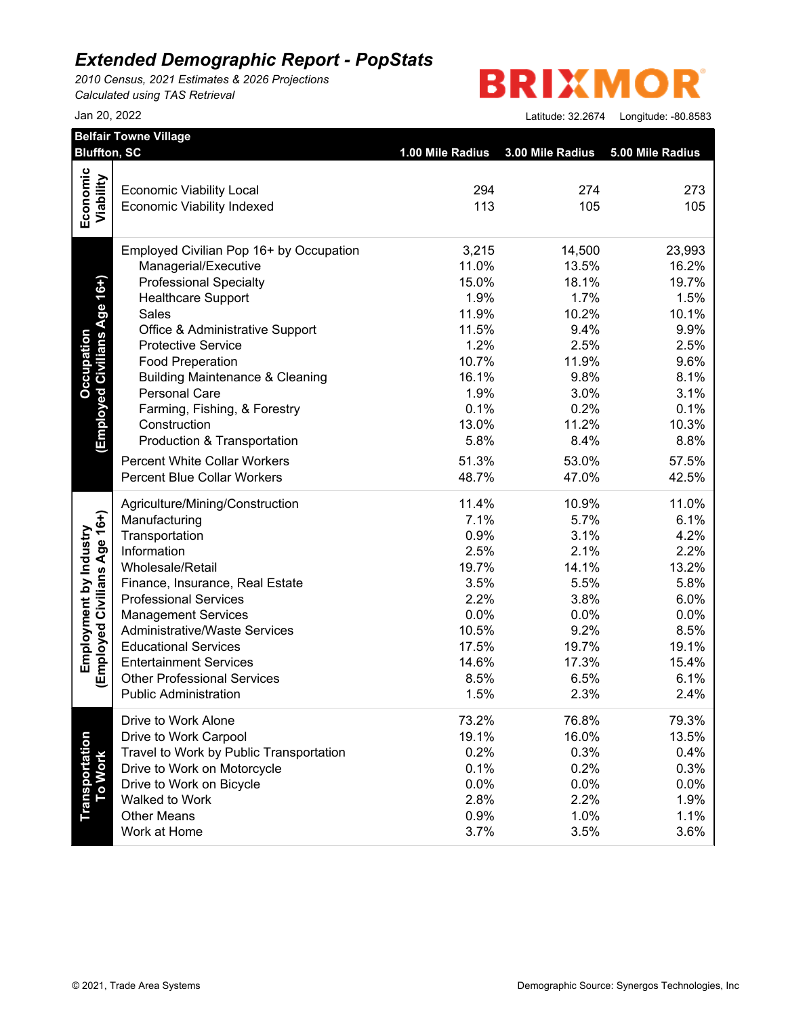*2010 Census, 2021 Estimates & 2026 Projections Calculated using TAS Retrieval*

# **BRIXMOR**

|                              | <b>Bluffton, SC</b>                                                | 1.00 Mile Radius | 3.00 Mile Radius | 5.00 Mile Radius |
|------------------------------|--------------------------------------------------------------------|------------------|------------------|------------------|
| Economic                     |                                                                    |                  |                  |                  |
|                              | <b>Economic Viability Local</b>                                    | 294              | 274              | 273              |
| Viability                    | <b>Economic Viability Indexed</b>                                  | 113              | 105              | 105              |
|                              | Employed Civilian Pop 16+ by Occupation                            | 3,215            | 14,500           | 23,993           |
|                              | Managerial/Executive                                               | 11.0%            | 13.5%            | 16.2%            |
| Age 16+)                     | <b>Professional Specialty</b>                                      | 15.0%            | 18.1%            | 19.7%            |
|                              | <b>Healthcare Support</b>                                          | 1.9%             | 1.7%             | 1.5%             |
|                              | Sales                                                              | 11.9%            | 10.2%            | 10.1%            |
|                              | Office & Administrative Support                                    | 11.5%            | 9.4%             | 9.9%             |
| <b>Employed Civilians</b>    | <b>Protective Service</b>                                          | 1.2%             | 2.5%             | 2.5%             |
|                              | <b>Food Preperation</b>                                            | 10.7%            | 11.9%            | 9.6%             |
|                              | <b>Building Maintenance &amp; Cleaning</b>                         | 16.1%            | 9.8%             | 8.1%             |
|                              | <b>Personal Care</b>                                               | 1.9%             | 3.0%             | 3.1%             |
|                              | Farming, Fishing, & Forestry                                       | 0.1%             | 0.2%             | 0.1%             |
|                              | Construction                                                       | 13.0%            | 11.2%            | 10.3%            |
|                              | Production & Transportation                                        | 5.8%             | 8.4%             | 8.8%             |
|                              | <b>Percent White Collar Workers</b>                                | 51.3%            | 53.0%            | 57.5%            |
|                              | <b>Percent Blue Collar Workers</b>                                 | 48.7%            | 47.0%            | 42.5%            |
|                              | Agriculture/Mining/Construction                                    | 11.4%            | 10.9%            | 11.0%            |
|                              | Manufacturing                                                      | 7.1%             | 5.7%             | 6.1%             |
|                              | Transportation                                                     | 0.9%             | 3.1%             | 4.2%             |
|                              | Information                                                        | 2.5%             | 2.1%             | 2.2%             |
|                              | Wholesale/Retail                                                   | 19.7%            | 14.1%            | 13.2%            |
|                              | Finance, Insurance, Real Estate                                    | 3.5%             | 5.5%             | 5.8%             |
|                              | <b>Professional Services</b>                                       | 2.2%             | 3.8%             | 6.0%             |
|                              | <b>Management Services</b>                                         | 0.0%             | 0.0%             | 0.0%             |
| (Employed Civilians Age 16+) | <b>Administrative/Waste Services</b>                               | 10.5%            | 9.2%             | 8.5%             |
|                              | <b>Educational Services</b>                                        | 17.5%            | 19.7%            | 19.1%            |
|                              | <b>Entertainment Services</b>                                      | 14.6%            | 17.3%            | 15.4%            |
|                              | <b>Other Professional Services</b><br><b>Public Administration</b> | 8.5%<br>1.5%     | 6.5%<br>2.3%     | 6.1%             |
|                              |                                                                    |                  |                  | 2.4%             |
|                              | Drive to Work Alone                                                | 73.2%            | 76.8%            | 79.3%            |
|                              | Drive to Work Carpool                                              | 19.1%            | 16.0%            | 13.5%            |
|                              | Travel to Work by Public Transportation                            | 0.2%             | 0.3%             | 0.4%             |
|                              | Drive to Work on Motorcycle                                        | 0.1%             | 0.2%             | 0.3%             |
|                              | Drive to Work on Bicycle                                           | 0.0%             | 0.0%             | 0.0%             |
| Transportation<br>To Work    | Walked to Work                                                     | 2.8%             | 2.2%             | 1.9%             |
|                              | <b>Other Means</b>                                                 | 0.9%             | 1.0%             | 1.1%             |
|                              | Work at Home                                                       | 3.7%             | 3.5%             | 3.6%             |